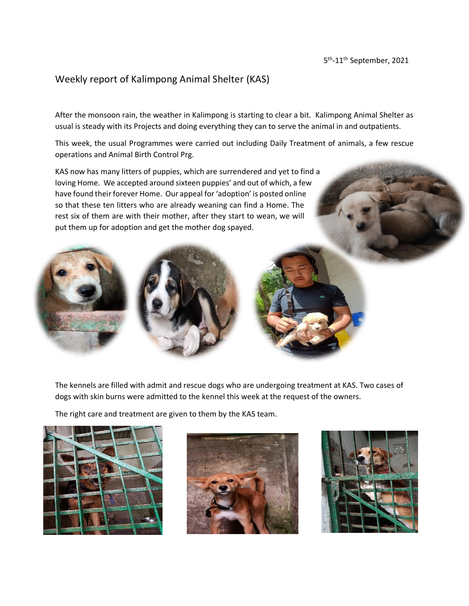## Weekly report of Kalimpong Animal Shelter (KAS)

After the monsoon rain, the weather in Kalimpong is starting to clear a bit. Kalimpong Animal Shelter as usual is steady with its Projects and doing everything they can to serve the animal in and outpatients.

This week, the usual Programmes were carried out including Daily Treatment of animals, a few rescue operations and Animal Birth Control Prg.

KAS now has many litters of puppies, which are surrendered and yet to find a loving Home. We accepted around sixteen puppies' and out of which, a few have found their forever Home. Our appeal for 'adoption' is posted online so that these ten litters who are already weaning can find a Home. The rest six of them are with their mother, after they start to wean, we will put them up for adoption and get the mother dog spayed.



The kennels are filled with admit and rescue dogs who are undergoing treatment at KAS. Two cases of dogs with skin burns were admitted to the kennel this week at the request of the owners.

The right care and treatment are given to them by the KAS team.